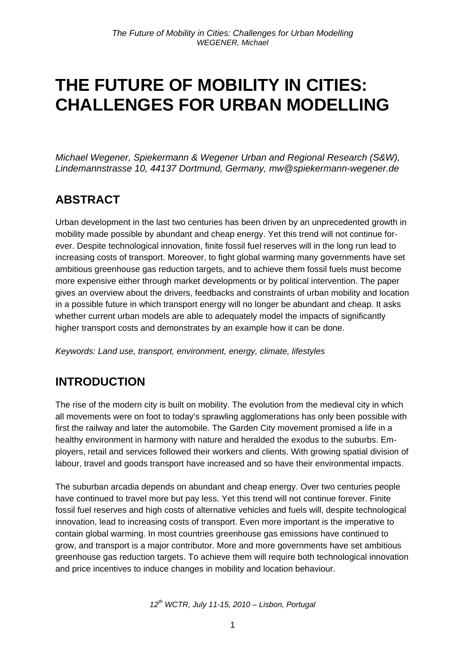# **THE FUTURE OF MOBILITY IN CITIES: CHALLENGES FOR URBAN MODELLING**

*Michael Wegener, Spiekermann & Wegener Urban and Regional Research (S&W), Lindemannstrasse 10, 44137 Dortmund, Germany, mw@spiekermann-wegener.de* 

### **ABSTRACT**

Urban development in the last two centuries has been driven by an unprecedented growth in mobility made possible by abundant and cheap energy. Yet this trend will not continue forever. Despite technological innovation, finite fossil fuel reserves will in the long run lead to increasing costs of transport. Moreover, to fight global warming many governments have set ambitious greenhouse gas reduction targets, and to achieve them fossil fuels must become more expensive either through market developments or by political intervention. The paper gives an overview about the drivers, feedbacks and constraints of urban mobility and location in a possible future in which transport energy will no longer be abundant and cheap. It asks whether current urban models are able to adequately model the impacts of significantly higher transport costs and demonstrates by an example how it can be done.

*Keywords: Land use, transport, environment, energy, climate, lifestyles* 

## **INTRODUCTION**

The rise of the modern city is built on mobility. The evolution from the medieval city in which all movements were on foot to today's sprawling agglomerations has only been possible with first the railway and later the automobile. The Garden City movement promised a life in a healthy environment in harmony with nature and heralded the exodus to the suburbs. Employers, retail and services followed their workers and clients. With growing spatial division of labour, travel and goods transport have increased and so have their environmental impacts.

The suburban arcadia depends on abundant and cheap energy. Over two centuries people have continued to travel more but pay less. Yet this trend will not continue forever. Finite fossil fuel reserves and high costs of alternative vehicles and fuels will, despite technological innovation, lead to increasing costs of transport. Even more important is the imperative to contain global warming. In most countries greenhouse gas emissions have continued to grow, and transport is a major contributor. More and more governments have set ambitious greenhouse gas reduction targets. To achieve them will require both technological innovation and price incentives to induce changes in mobility and location behaviour.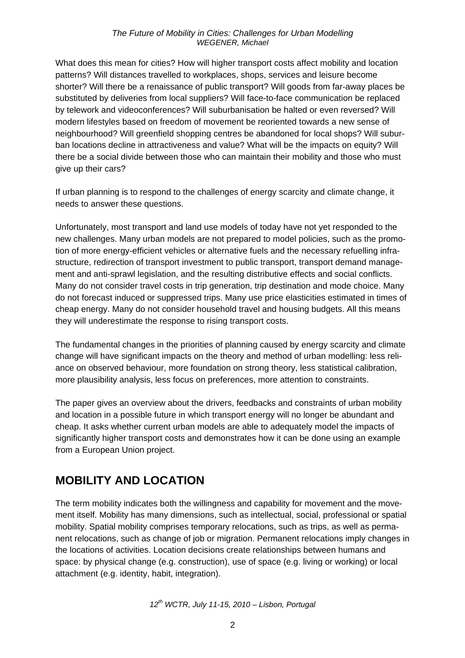#### *The Future of Mobility in Cities: Challenges for Urban Modelling WEGENER, Michael*

What does this mean for cities? How will higher transport costs affect mobility and location patterns? Will distances travelled to workplaces, shops, services and leisure become shorter? Will there be a renaissance of public transport? Will goods from far-away places be substituted by deliveries from local suppliers? Will face-to-face communication be replaced by telework and videoconferences? Will suburbanisation be halted or even reversed? Will modern lifestyles based on freedom of movement be reoriented towards a new sense of neighbourhood? Will greenfield shopping centres be abandoned for local shops? Will suburban locations decline in attractiveness and value? What will be the impacts on equity? Will there be a social divide between those who can maintain their mobility and those who must give up their cars?

If urban planning is to respond to the challenges of energy scarcity and climate change, it needs to answer these questions.

Unfortunately, most transport and land use models of today have not yet responded to the new challenges. Many urban models are not prepared to model policies, such as the promotion of more energy-efficient vehicles or alternative fuels and the necessary refuelling infrastructure, redirection of transport investment to public transport, transport demand management and anti-sprawl legislation, and the resulting distributive effects and social conflicts. Many do not consider travel costs in trip generation, trip destination and mode choice. Many do not forecast induced or suppressed trips. Many use price elasticities estimated in times of cheap energy. Many do not consider household travel and housing budgets. All this means they will underestimate the response to rising transport costs.

The fundamental changes in the priorities of planning caused by energy scarcity and climate change will have significant impacts on the theory and method of urban modelling: less reliance on observed behaviour, more foundation on strong theory, less statistical calibration, more plausibility analysis, less focus on preferences, more attention to constraints.

The paper gives an overview about the drivers, feedbacks and constraints of urban mobility and location in a possible future in which transport energy will no longer be abundant and cheap. It asks whether current urban models are able to adequately model the impacts of significantly higher transport costs and demonstrates how it can be done using an example from a European Union project.

### **MOBILITY AND LOCATION**

The term mobility indicates both the willingness and capability for movement and the movement itself. Mobility has many dimensions, such as intellectual, social, professional or spatial mobility. Spatial mobility comprises temporary relocations, such as trips, as well as permanent relocations, such as change of job or migration. Permanent relocations imply changes in the locations of activities. Location decisions create relationships between humans and space: by physical change (e.g. construction), use of space (e.g. living or working) or local attachment (e.g. identity, habit, integration).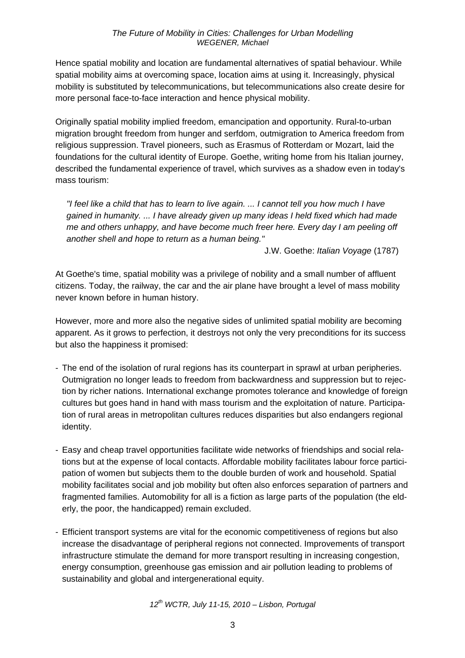Hence spatial mobility and location are fundamental alternatives of spatial behaviour. While spatial mobility aims at overcoming space, location aims at using it. Increasingly, physical mobility is substituted by telecommunications, but telecommunications also create desire for more personal face-to-face interaction and hence physical mobility.

Originally spatial mobility implied freedom, emancipation and opportunity. Rural-to-urban migration brought freedom from hunger and serfdom, outmigration to America freedom from religious suppression. Travel pioneers, such as Erasmus of Rotterdam or Mozart, laid the foundations for the cultural identity of Europe. Goethe, writing home from his Italian journey, described the fundamental experience of travel, which survives as a shadow even in today's mass tourism:

*"I feel like a child that has to learn to live again. ... I cannot tell you how much I have gained in humanity. ... I have already given up many ideas I held fixed which had made me and others unhappy, and have become much freer here. Every day I am peeling off another shell and hope to return as a human being."* 

J.W. Goethe: *Italian Voyage* (1787)

At Goethe's time, spatial mobility was a privilege of nobility and a small number of affluent citizens. Today, the railway, the car and the air plane have brought a level of mass mobility never known before in human history.

However, more and more also the negative sides of unlimited spatial mobility are becoming apparent. As it grows to perfection, it destroys not only the very preconditions for its success but also the happiness it promised:

- The end of the isolation of rural regions has its counterpart in sprawl at urban peripheries. Outmigration no longer leads to freedom from backwardness and suppression but to rejection by richer nations. International exchange promotes tolerance and knowledge of foreign cultures but goes hand in hand with mass tourism and the exploitation of nature. Participation of rural areas in metropolitan cultures reduces disparities but also endangers regional identity.
- Easy and cheap travel opportunities facilitate wide networks of friendships and social relations but at the expense of local contacts. Affordable mobility facilitates labour force participation of women but subjects them to the double burden of work and household. Spatial mobility facilitates social and job mobility but often also enforces separation of partners and fragmented families. Automobility for all is a fiction as large parts of the population (the elderly, the poor, the handicapped) remain excluded.
- Efficient transport systems are vital for the economic competitiveness of regions but also increase the disadvantage of peripheral regions not connected. Improvements of transport infrastructure stimulate the demand for more transport resulting in increasing congestion, energy consumption, greenhouse gas emission and air pollution leading to problems of sustainability and global and intergenerational equity.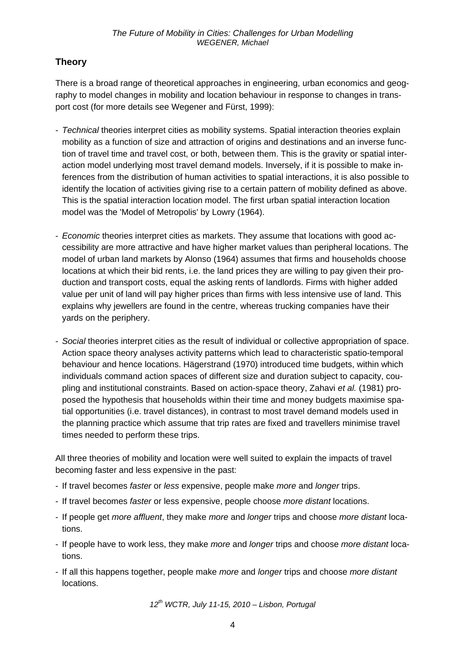#### **Theory**

There is a broad range of theoretical approaches in engineering, urban economics and geography to model changes in mobility and location behaviour in response to changes in transport cost (for more details see Wegener and Fürst, 1999):

- *Technical* theories interpret cities as mobility systems. Spatial interaction theories explain mobility as a function of size and attraction of origins and destinations and an inverse function of travel time and travel cost, or both, between them. This is the gravity or spatial interaction model underlying most travel demand models. Inversely, if it is possible to make inferences from the distribution of human activities to spatial interactions, it is also possible to identify the location of activities giving rise to a certain pattern of mobility defined as above. This is the spatial interaction location model. The first urban spatial interaction location model was the 'Model of Metropolis' by Lowry (1964).
- *Economic* theories interpret cities as markets. They assume that locations with good accessibility are more attractive and have higher market values than peripheral locations. The model of urban land markets by Alonso (1964) assumes that firms and households choose locations at which their bid rents, i.e. the land prices they are willing to pay given their production and transport costs, equal the asking rents of landlords. Firms with higher added value per unit of land will pay higher prices than firms with less intensive use of land. This explains why jewellers are found in the centre, whereas trucking companies have their yards on the periphery.
- *Social* theories interpret cities as the result of individual or collective appropriation of space. Action space theory analyses activity patterns which lead to characteristic spatio-temporal behaviour and hence locations. Hägerstrand (1970) introduced time budgets, within which individuals command action spaces of different size and duration subject to capacity, coupling and institutional constraints. Based on action-space theory, Zahavi *et al.* (1981) proposed the hypothesis that households within their time and money budgets maximise spatial opportunities (i.e. travel distances), in contrast to most travel demand models used in the planning practice which assume that trip rates are fixed and travellers minimise travel times needed to perform these trips.

All three theories of mobility and location were well suited to explain the impacts of travel becoming faster and less expensive in the past:

- If travel becomes *faster* or *less* expensive, people make *more* and *longer* trips.
- If travel becomes *faster* or less expensive, people choose *more distant* locations.
- If people get *more affluent*, they make *more* and *longer* trips and choose *more distant* locations.
- If people have to work less, they make *more* and *longer* trips and choose *more distant* locations.
- If all this happens together, people make *more* and *longer* trips and choose *more distant* locations.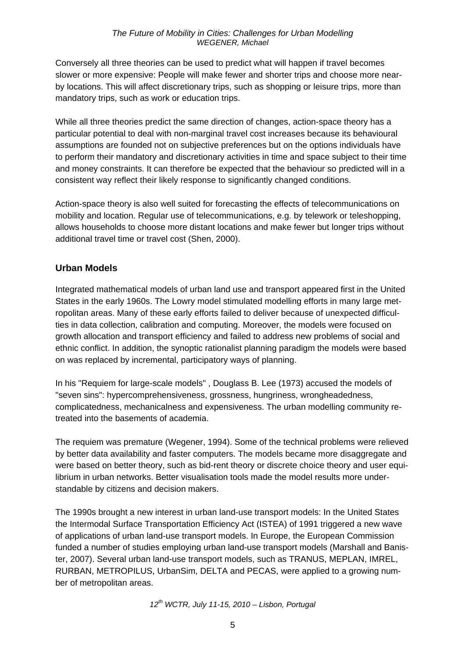Conversely all three theories can be used to predict what will happen if travel becomes slower or more expensive: People will make fewer and shorter trips and choose more nearby locations. This will affect discretionary trips, such as shopping or leisure trips, more than mandatory trips, such as work or education trips.

While all three theories predict the same direction of changes, action-space theory has a particular potential to deal with non-marginal travel cost increases because its behavioural assumptions are founded not on subjective preferences but on the options individuals have to perform their mandatory and discretionary activities in time and space subject to their time and money constraints. It can therefore be expected that the behaviour so predicted will in a consistent way reflect their likely response to significantly changed conditions.

Action-space theory is also well suited for forecasting the effects of telecommunications on mobility and location. Regular use of telecommunications, e.g. by telework or teleshopping, allows households to choose more distant locations and make fewer but longer trips without additional travel time or travel cost (Shen, 2000).

#### **Urban Models**

Integrated mathematical models of urban land use and transport appeared first in the United States in the early 1960s. The Lowry model stimulated modelling efforts in many large metropolitan areas. Many of these early efforts failed to deliver because of unexpected difficulties in data collection, calibration and computing. Moreover, the models were focused on growth allocation and transport efficiency and failed to address new problems of social and ethnic conflict. In addition, the synoptic rationalist planning paradigm the models were based on was replaced by incremental, participatory ways of planning.

In his "Requiem for large-scale models" , Douglass B. Lee (1973) accused the models of "seven sins": hypercomprehensiveness, grossness, hungriness, wrongheadedness, complicatedness, mechanicalness and expensiveness. The urban modelling community retreated into the basements of academia.

The requiem was premature (Wegener, 1994). Some of the technical problems were relieved by better data availability and faster computers. The models became more disaggregate and were based on better theory, such as bid-rent theory or discrete choice theory and user equilibrium in urban networks. Better visualisation tools made the model results more understandable by citizens and decision makers.

The 1990s brought a new interest in urban land-use transport models: In the United States the Intermodal Surface Transportation Efficiency Act (ISTEA) of 1991 triggered a new wave of applications of urban land-use transport models. In Europe, the European Commission funded a number of studies employing urban land-use transport models (Marshall and Banister, 2007). Several urban land-use transport models, such as TRANUS, MEPLAN, IMREL, RURBAN, METROPILUS, UrbanSim, DELTA and PECAS, were applied to a growing number of metropolitan areas.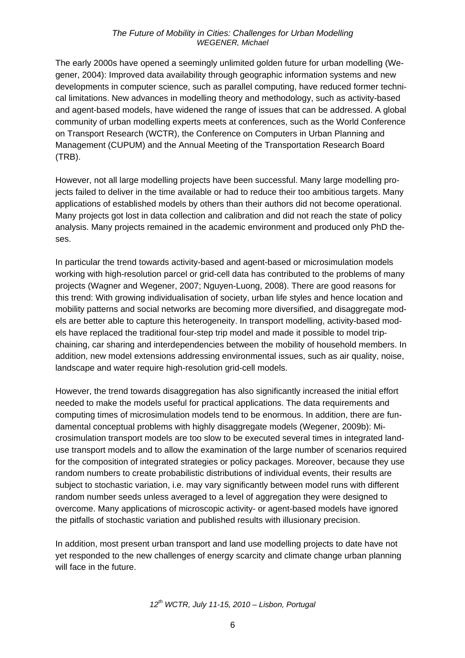The early 2000s have opened a seemingly unlimited golden future for urban modelling (Wegener, 2004): Improved data availability through geographic information systems and new developments in computer science, such as parallel computing, have reduced former technical limitations. New advances in modelling theory and methodology, such as activity-based and agent-based models, have widened the range of issues that can be addressed. A global community of urban modelling experts meets at conferences, such as the World Conference on Transport Research (WCTR), the Conference on Computers in Urban Planning and Management (CUPUM) and the Annual Meeting of the Transportation Research Board (TRB).

However, not all large modelling projects have been successful. Many large modelling projects failed to deliver in the time available or had to reduce their too ambitious targets. Many applications of established models by others than their authors did not become operational. Many projects got lost in data collection and calibration and did not reach the state of policy analysis. Many projects remained in the academic environment and produced only PhD theses.

In particular the trend towards activity-based and agent-based or microsimulation models working with high-resolution parcel or grid-cell data has contributed to the problems of many projects (Wagner and Wegener, 2007; Nguyen-Luong, 2008). There are good reasons for this trend: With growing individualisation of society, urban life styles and hence location and mobility patterns and social networks are becoming more diversified, and disaggregate models are better able to capture this heterogeneity. In transport modelling, activity-based models have replaced the traditional four-step trip model and made it possible to model tripchaining, car sharing and interdependencies between the mobility of household members. In addition, new model extensions addressing environmental issues, such as air quality, noise, landscape and water require high-resolution grid-cell models.

However, the trend towards disaggregation has also significantly increased the initial effort needed to make the models useful for practical applications. The data requirements and computing times of microsimulation models tend to be enormous. In addition, there are fundamental conceptual problems with highly disaggregate models (Wegener, 2009b): Microsimulation transport models are too slow to be executed several times in integrated landuse transport models and to allow the examination of the large number of scenarios required for the composition of integrated strategies or policy packages. Moreover, because they use random numbers to create probabilistic distributions of individual events, their results are subject to stochastic variation, i.e. may vary significantly between model runs with different random number seeds unless averaged to a level of aggregation they were designed to overcome. Many applications of microscopic activity- or agent-based models have ignored the pitfalls of stochastic variation and published results with illusionary precision.

In addition, most present urban transport and land use modelling projects to date have not yet responded to the new challenges of energy scarcity and climate change urban planning will face in the future.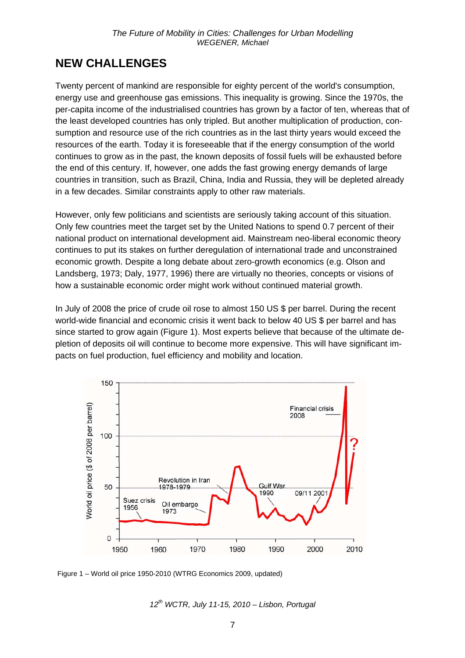### **NEW CHALLENGES**

Twenty percent of mankind are responsible for eighty percent of the world's consumption, energy use and greenhouse gas emissions. This inequality is growing. Since the 1970s, the per-capita income of the industrialised countries has grown by a factor of ten, whereas that of the least developed countries has only tripled. But another multiplication of production, consumption and resource use of the rich countries as in the last thirty years would exceed the resources of the earth. Today it is foreseeable that if the energy consumption of the world continues to grow as in the past, the known deposits of fossil fuels will be exhausted before the end of this century. If, however, one adds the fast growing energy demands of large countries in transition, such as Brazil, China, India and Russia, they will be depleted already in a few decades. Similar constraints apply to other raw materials.

However, only few politicians and scientists are seriously taking account of this situation. Only few countries meet the target set by the United Nations to spend 0.7 percent of their national product on international development aid. Mainstream neo-liberal economic theory continues to put its stakes on further deregulation of international trade and unconstrained economic growth. Despite a long debate about zero-growth economics (e.g. Olson and Landsberg, 1973; Daly, 1977, 1996) there are virtually no theories, concepts or visions of how a sustainable economic order might work without continued material growth.

In July of 2008 the price of crude oil rose to almost 150 US \$ per barrel. During the recent world-wide financial and economic crisis it went back to below 40 US \$ per barrel and has since started to grow again (Figure 1). Most experts believe that because of the ultimate depletion of deposits oil will continue to become more expensive. This will have significant impacts on fuel production, fuel efficiency and mobility and location.



Figure 1 – World oil price 1950-2010 (WTRG Economics 2009, updated)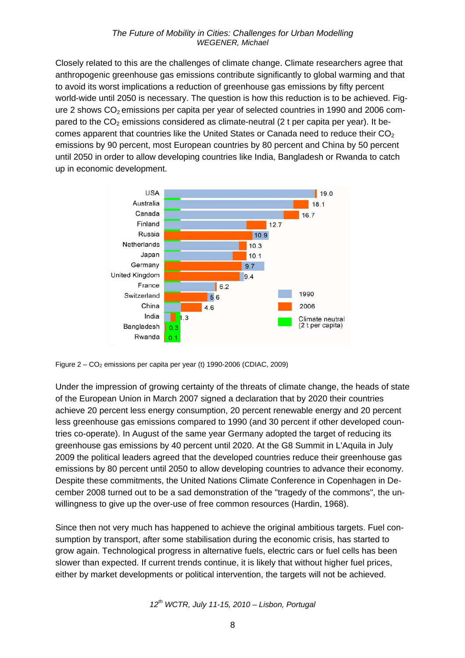Closely related to this are the challenges of climate change. Climate researchers agree that anthropogenic greenhouse gas emissions contribute significantly to global warming and that to avoid its worst implications a reduction of greenhouse gas emissions by fifty percent world-wide until 2050 is necessary. The question is how this reduction is to be achieved. Figure 2 shows  $CO<sub>2</sub>$  emissions per capita per year of selected countries in 1990 and 2006 compared to the  $CO<sub>2</sub>$  emissions considered as climate-neutral (2 t per capita per year). It becomes apparent that countries like the United States or Canada need to reduce their  $CO<sub>2</sub>$ emissions by 90 percent, most European countries by 80 percent and China by 50 percent until 2050 in order to allow developing countries like India, Bangladesh or Rwanda to catch up in economic development.



Figure  $2 - CO_2$  emissions per capita per year (t) 1990-2006 (CDIAC, 2009)

Under the impression of growing certainty of the threats of climate change, the heads of state of the European Union in March 2007 signed a declaration that by 2020 their countries achieve 20 percent less energy consumption, 20 percent renewable energy and 20 percent less greenhouse gas emissions compared to 1990 (and 30 percent if other developed countries co-operate). In August of the same year Germany adopted the target of reducing its greenhouse gas emissions by 40 percent until 2020. At the G8 Summit in L'Aquila in July 2009 the political leaders agreed that the developed countries reduce their greenhouse gas emissions by 80 percent until 2050 to allow developing countries to advance their economy. Despite these commitments, the United Nations Climate Conference in Copenhagen in December 2008 turned out to be a sad demonstration of the "tragedy of the commons", the unwillingness to give up the over-use of free common resources (Hardin, 1968).

Since then not very much has happened to achieve the original ambitious targets. Fuel consumption by transport, after some stabilisation during the economic crisis, has started to grow again. Technological progress in alternative fuels, electric cars or fuel cells has been slower than expected. If current trends continue, it is likely that without higher fuel prices, either by market developments or political intervention, the targets will not be achieved.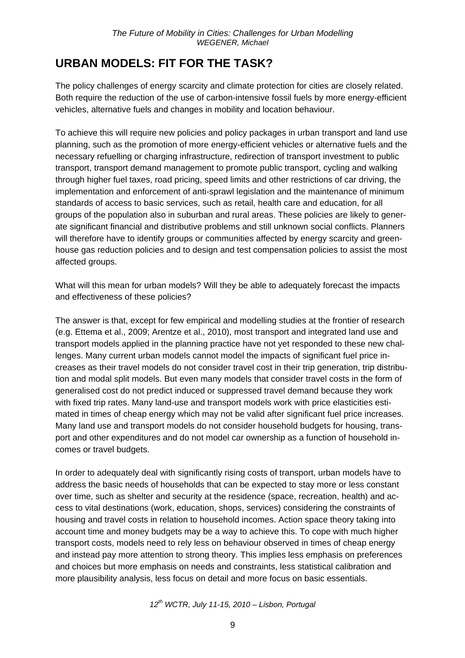## **URBAN MODELS: FIT FOR THE TASK?**

The policy challenges of energy scarcity and climate protection for cities are closely related. Both require the reduction of the use of carbon-intensive fossil fuels by more energy-efficient vehicles, alternative fuels and changes in mobility and location behaviour.

To achieve this will require new policies and policy packages in urban transport and land use planning, such as the promotion of more energy-efficient vehicles or alternative fuels and the necessary refuelling or charging infrastructure, redirection of transport investment to public transport, transport demand management to promote public transport, cycling and walking through higher fuel taxes, road pricing, speed limits and other restrictions of car driving, the implementation and enforcement of anti-sprawl legislation and the maintenance of minimum standards of access to basic services, such as retail, health care and education, for all groups of the population also in suburban and rural areas. These policies are likely to generate significant financial and distributive problems and still unknown social conflicts. Planners will therefore have to identify groups or communities affected by energy scarcity and greenhouse gas reduction policies and to design and test compensation policies to assist the most affected groups.

What will this mean for urban models? Will they be able to adequately forecast the impacts and effectiveness of these policies?

The answer is that, except for few empirical and modelling studies at the frontier of research (e.g. Ettema et al., 2009; Arentze et al., 2010), most transport and integrated land use and transport models applied in the planning practice have not yet responded to these new challenges. Many current urban models cannot model the impacts of significant fuel price increases as their travel models do not consider travel cost in their trip generation, trip distribution and modal split models. But even many models that consider travel costs in the form of generalised cost do not predict induced or suppressed travel demand because they work with fixed trip rates. Many land-use and transport models work with price elasticities estimated in times of cheap energy which may not be valid after significant fuel price increases. Many land use and transport models do not consider household budgets for housing, transport and other expenditures and do not model car ownership as a function of household incomes or travel budgets.

In order to adequately deal with significantly rising costs of transport, urban models have to address the basic needs of households that can be expected to stay more or less constant over time, such as shelter and security at the residence (space, recreation, health) and access to vital destinations (work, education, shops, services) considering the constraints of housing and travel costs in relation to household incomes. Action space theory taking into account time and money budgets may be a way to achieve this. To cope with much higher transport costs, models need to rely less on behaviour observed in times of cheap energy and instead pay more attention to strong theory. This implies less emphasis on preferences and choices but more emphasis on needs and constraints, less statistical calibration and more plausibility analysis, less focus on detail and more focus on basic essentials.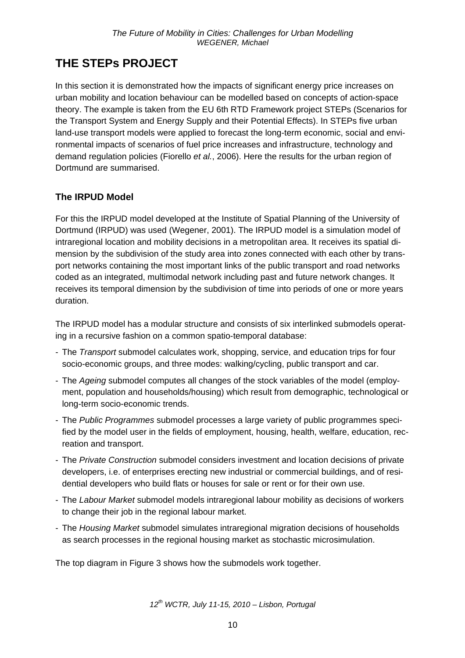# **THE STEPs PROJECT**

In this section it is demonstrated how the impacts of significant energy price increases on urban mobility and location behaviour can be modelled based on concepts of action-space theory. The example is taken from the EU 6th RTD Framework project STEPs (Scenarios for the Transport System and Energy Supply and their Potential Effects). In STEPs five urban land-use transport models were applied to forecast the long-term economic, social and environmental impacts of scenarios of fuel price increases and infrastructure, technology and demand regulation policies (Fiorello *et al.*, 2006). Here the results for the urban region of Dortmund are summarised.

#### **The IRPUD Model**

For this the IRPUD model developed at the Institute of Spatial Planning of the University of Dortmund (IRPUD) was used (Wegener, 2001). The IRPUD model is a simulation model of intraregional location and mobility decisions in a metropolitan area. It receives its spatial dimension by the subdivision of the study area into zones connected with each other by transport networks containing the most important links of the public transport and road networks coded as an integrated, multimodal network including past and future network changes. It receives its temporal dimension by the subdivision of time into periods of one or more years duration.

The IRPUD model has a modular structure and consists of six interlinked submodels operating in a recursive fashion on a common spatio-temporal database:

- The *Transport* submodel calculates work, shopping, service, and education trips for four socio-economic groups, and three modes: walking/cycling, public transport and car.
- The *Ageing* submodel computes all changes of the stock variables of the model (employment, population and households/housing) which result from demographic, technological or long-term socio-economic trends.
- The *Public Programmes* submodel processes a large variety of public programmes specified by the model user in the fields of employment, housing, health, welfare, education, recreation and transport.
- The *Private Construction* submodel considers investment and location decisions of private developers, i.e. of enterprises erecting new industrial or commercial buildings, and of residential developers who build flats or houses for sale or rent or for their own use.
- The *Labour Market* submodel models intraregional labour mobility as decisions of workers to change their job in the regional labour market.
- The *Housing Market* submodel simulates intraregional migration decisions of households as search processes in the regional housing market as stochastic microsimulation.

The top diagram in Figure 3 shows how the submodels work together.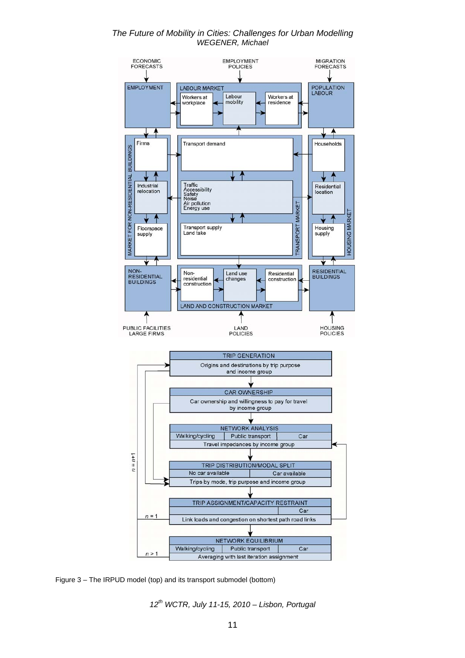*The Future of Mobility in Cities: Challenges for Urban Modelling WEGENER, Michael* 



Figure 3 – The IRPUD model (top) and its transport submodel (bottom)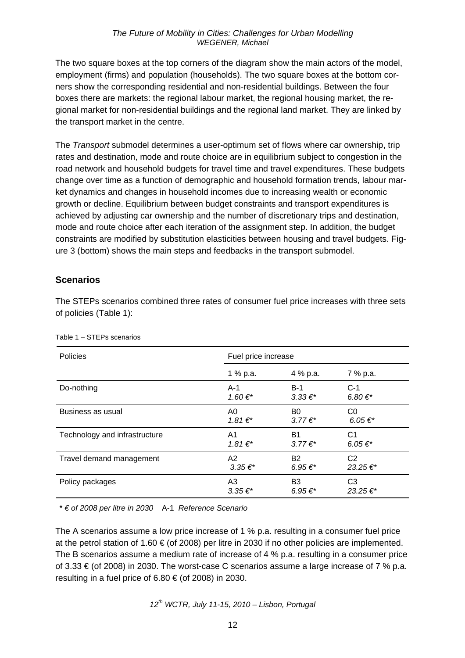The two square boxes at the top corners of the diagram show the main actors of the model, employment (firms) and population (households). The two square boxes at the bottom corners show the corresponding residential and non-residential buildings. Between the four boxes there are markets: the regional labour market, the regional housing market, the regional market for non-residential buildings and the regional land market. They are linked by the transport market in the centre.

The *Transport* submodel determines a user-optimum set of flows where car ownership, trip rates and destination, mode and route choice are in equilibrium subject to congestion in the road network and household budgets for travel time and travel expenditures. These budgets change over time as a function of demographic and household formation trends, labour market dynamics and changes in household incomes due to increasing wealth or economic growth or decline. Equilibrium between budget constraints and transport expenditures is achieved by adjusting car ownership and the number of discretionary trips and destination, mode and route choice after each iteration of the assignment step. In addition, the budget constraints are modified by substitution elasticities between housing and travel budgets. Figure 3 (bottom) shows the main steps and feedbacks in the transport submodel.

#### **Scenarios**

The STEPs scenarios combined three rates of consumer fuel price increases with three sets of policies (Table 1):

| Policies                      | Fuel price increase |                |                |
|-------------------------------|---------------------|----------------|----------------|
|                               | 1 % p.a.            | 4 % p.a.       | 7 % p.a.       |
| Do-nothing                    | $A-1$               | $B-1$          | $C-1$          |
|                               | 1.60 €*             | $3.33 \in$ *   | 6.80 €*        |
| Business as usual             | A0                  | B0             | C <sub>0</sub> |
|                               | $1.81€$ *           | $3.77€*$       | 6.05 €*        |
| Technology and infrastructure | A1                  | <b>B1</b>      | C <sub>1</sub> |
|                               | $1.81€*$            | $3.77 \in$ *   | 6.05 €*        |
| Travel demand management      | A2                  | <b>B2</b>      | C <sub>2</sub> |
|                               | $3.35 \in X$        | 6.95 €*        | 23.25€*        |
| Policy packages               | A3                  | B <sub>3</sub> | C <sub>3</sub> |
|                               | $3.35 \in X$        | 6.95 €*        | 23.25 €*       |

Table 1 – STEPs scenarios

\* *€ of 2008 per litre in 2030* A-1 *Reference Scenario*

The A scenarios assume a low price increase of 1 % p.a. resulting in a consumer fuel price at the petrol station of 1.60  $\epsilon$  (of 2008) per litre in 2030 if no other policies are implemented. The B scenarios assume a medium rate of increase of 4 % p.a. resulting in a consumer price of 3.33  $\epsilon$  (of 2008) in 2030. The worst-case C scenarios assume a large increase of 7 % p.a. resulting in a fuel price of  $6.80 \in ($ of 2008) in 2030.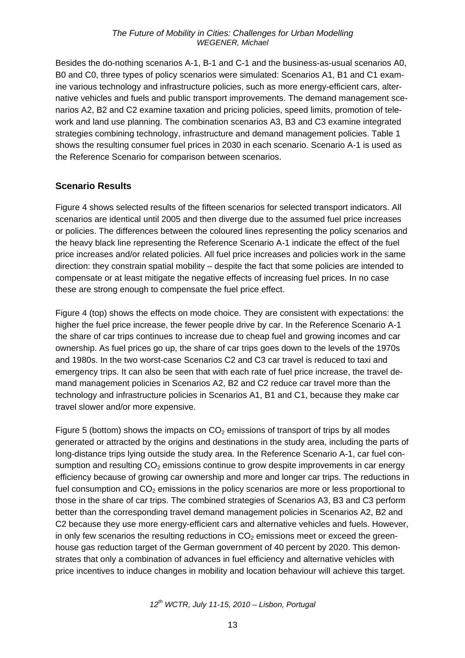Besides the do-nothing scenarios A-1, B-1 and C-1 and the business-as-usual scenarios A0, B0 and C0, three types of policy scenarios were simulated: Scenarios A1, B1 and C1 examine various technology and infrastructure policies, such as more energy-efficient cars, alternative vehicles and fuels and public transport improvements. The demand management scenarios A2, B2 and C2 examine taxation and pricing policies, speed limits, promotion of telework and land use planning. The combination scenarios A3, B3 and C3 examine integrated strategies combining technology, infrastructure and demand management policies. Table 1 shows the resulting consumer fuel prices in 2030 in each scenario. Scenario A-1 is used as the Reference Scenario for comparison between scenarios.

#### **Scenario Results**

Figure 4 shows selected results of the fifteen scenarios for selected transport indicators. All scenarios are identical until 2005 and then diverge due to the assumed fuel price increases or policies. The differences between the coloured lines representing the policy scenarios and the heavy black line representing the Reference Scenario A-1 indicate the effect of the fuel price increases and/or related policies. All fuel price increases and policies work in the same direction: they constrain spatial mobility – despite the fact that some policies are intended to compensate or at least mitigate the negative effects of increasing fuel prices. In no case these are strong enough to compensate the fuel price effect.

Figure 4 (top) shows the effects on mode choice. They are consistent with expectations: the higher the fuel price increase, the fewer people drive by car. In the Reference Scenario A-1 the share of car trips continues to increase due to cheap fuel and growing incomes and car ownership. As fuel prices go up, the share of car trips goes down to the levels of the 1970s and 1980s. In the two worst-case Scenarios C2 and C3 car travel is reduced to taxi and emergency trips. It can also be seen that with each rate of fuel price increase, the travel demand management policies in Scenarios A2, B2 and C2 reduce car travel more than the technology and infrastructure policies in Scenarios A1, B1 and C1, because they make car travel slower and/or more expensive.

Figure 5 (bottom) shows the impacts on  $CO<sub>2</sub>$  emissions of transport of trips by all modes generated or attracted by the origins and destinations in the study area, including the parts of long-distance trips lying outside the study area. In the Reference Scenario A-1, car fuel consumption and resulting  $CO<sub>2</sub>$  emissions continue to grow despite improvements in car energy efficiency because of growing car ownership and more and longer car trips. The reductions in fuel consumption and  $CO<sub>2</sub>$  emissions in the policy scenarios are more or less proportional to those in the share of car trips. The combined strategies of Scenarios A3, B3 and C3 perform better than the corresponding travel demand management policies in Scenarios A2, B2 and C2 because they use more energy-efficient cars and alternative vehicles and fuels. However, in only few scenarios the resulting reductions in  $CO<sub>2</sub>$  emissions meet or exceed the greenhouse gas reduction target of the German government of 40 percent by 2020. This demonstrates that only a combination of advances in fuel efficiency and alternative vehicles with price incentives to induce changes in mobility and location behaviour will achieve this target.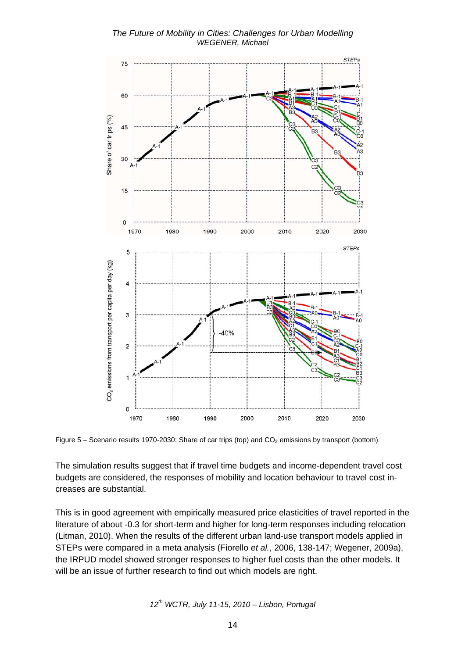*The Future of Mobility in Cities: Challenges for Urban Modelling WEGENER, Michael* 



Figure 5 – Scenario results 1970-2030: Share of car trips (top) and  $CO<sub>2</sub>$  emissions by transport (bottom)

The simulation results suggest that if travel time budgets and income-dependent travel cost budgets are considered, the responses of mobility and location behaviour to travel cost increases are substantial.

This is in good agreement with empirically measured price elasticities of travel reported in the literature of about -0.3 for short-term and higher for long-term responses including relocation (Litman, 2010). When the results of the different urban land-use transport models applied in STEPs were compared in a meta analysis (Fiorello *et al.*, 2006, 138-147; Wegener, 2009a), the IRPUD model showed stronger responses to higher fuel costs than the other models. It will be an issue of further research to find out which models are right.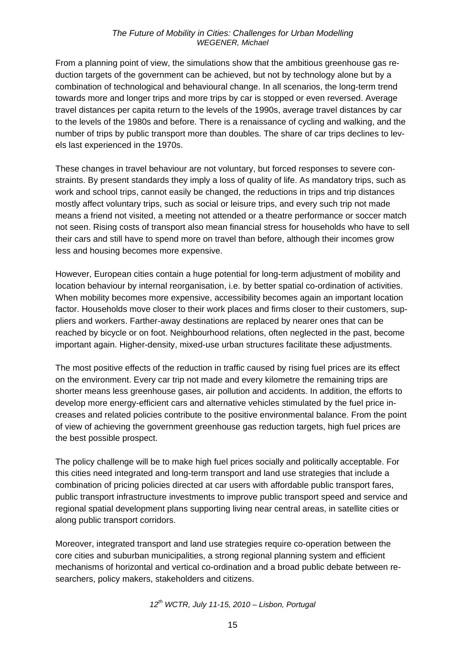#### *The Future of Mobility in Cities: Challenges for Urban Modelling WEGENER, Michael*

From a planning point of view, the simulations show that the ambitious greenhouse gas reduction targets of the government can be achieved, but not by technology alone but by a combination of technological and behavioural change. In all scenarios, the long-term trend towards more and longer trips and more trips by car is stopped or even reversed. Average travel distances per capita return to the levels of the 1990s, average travel distances by car to the levels of the 1980s and before. There is a renaissance of cycling and walking, and the number of trips by public transport more than doubles. The share of car trips declines to levels last experienced in the 1970s.

These changes in travel behaviour are not voluntary, but forced responses to severe constraints. By present standards they imply a loss of quality of life. As mandatory trips, such as work and school trips, cannot easily be changed, the reductions in trips and trip distances mostly affect voluntary trips, such as social or leisure trips, and every such trip not made means a friend not visited, a meeting not attended or a theatre performance or soccer match not seen. Rising costs of transport also mean financial stress for households who have to sell their cars and still have to spend more on travel than before, although their incomes grow less and housing becomes more expensive.

However, European cities contain a huge potential for long-term adjustment of mobility and location behaviour by internal reorganisation, i.e. by better spatial co-ordination of activities. When mobility becomes more expensive, accessibility becomes again an important location factor. Households move closer to their work places and firms closer to their customers, suppliers and workers. Farther-away destinations are replaced by nearer ones that can be reached by bicycle or on foot. Neighbourhood relations, often neglected in the past, become important again. Higher-density, mixed-use urban structures facilitate these adjustments.

The most positive effects of the reduction in traffic caused by rising fuel prices are its effect on the environment. Every car trip not made and every kilometre the remaining trips are shorter means less greenhouse gases, air pollution and accidents. In addition, the efforts to develop more energy-efficient cars and alternative vehicles stimulated by the fuel price increases and related policies contribute to the positive environmental balance. From the point of view of achieving the government greenhouse gas reduction targets, high fuel prices are the best possible prospect.

The policy challenge will be to make high fuel prices socially and politically acceptable. For this cities need integrated and long-term transport and land use strategies that include a combination of pricing policies directed at car users with affordable public transport fares, public transport infrastructure investments to improve public transport speed and service and regional spatial development plans supporting living near central areas, in satellite cities or along public transport corridors.

Moreover, integrated transport and land use strategies require co-operation between the core cities and suburban municipalities, a strong regional planning system and efficient mechanisms of horizontal and vertical co-ordination and a broad public debate between researchers, policy makers, stakeholders and citizens.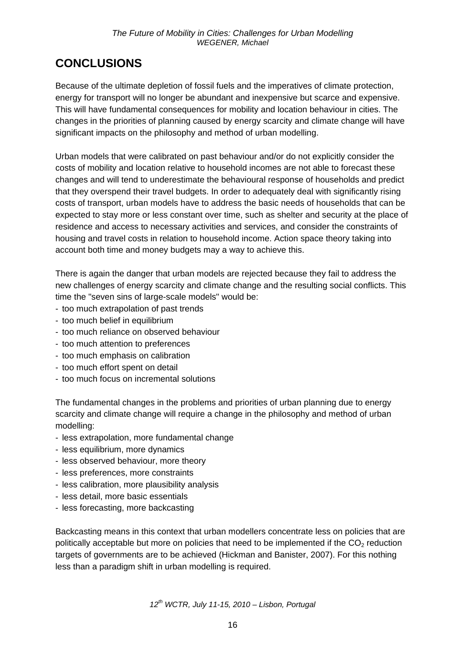### **CONCLUSIONS**

Because of the ultimate depletion of fossil fuels and the imperatives of climate protection, energy for transport will no longer be abundant and inexpensive but scarce and expensive. This will have fundamental consequences for mobility and location behaviour in cities. The changes in the priorities of planning caused by energy scarcity and climate change will have significant impacts on the philosophy and method of urban modelling.

Urban models that were calibrated on past behaviour and/or do not explicitly consider the costs of mobility and location relative to household incomes are not able to forecast these changes and will tend to underestimate the behavioural response of households and predict that they overspend their travel budgets. In order to adequately deal with significantly rising costs of transport, urban models have to address the basic needs of households that can be expected to stay more or less constant over time, such as shelter and security at the place of residence and access to necessary activities and services, and consider the constraints of housing and travel costs in relation to household income. Action space theory taking into account both time and money budgets may a way to achieve this.

There is again the danger that urban models are rejected because they fail to address the new challenges of energy scarcity and climate change and the resulting social conflicts. This time the "seven sins of large-scale models" would be:

- too much extrapolation of past trends
- too much belief in equilibrium
- too much reliance on observed behaviour
- too much attention to preferences
- too much emphasis on calibration
- too much effort spent on detail
- too much focus on incremental solutions

The fundamental changes in the problems and priorities of urban planning due to energy scarcity and climate change will require a change in the philosophy and method of urban modelling:

- less extrapolation, more fundamental change
- less equilibrium, more dynamics
- less observed behaviour, more theory
- less preferences, more constraints
- less calibration, more plausibility analysis
- less detail, more basic essentials
- less forecasting, more backcasting

Backcasting means in this context that urban modellers concentrate less on policies that are politically acceptable but more on policies that need to be implemented if the  $CO<sub>2</sub>$  reduction targets of governments are to be achieved (Hickman and Banister, 2007). For this nothing less than a paradigm shift in urban modelling is required.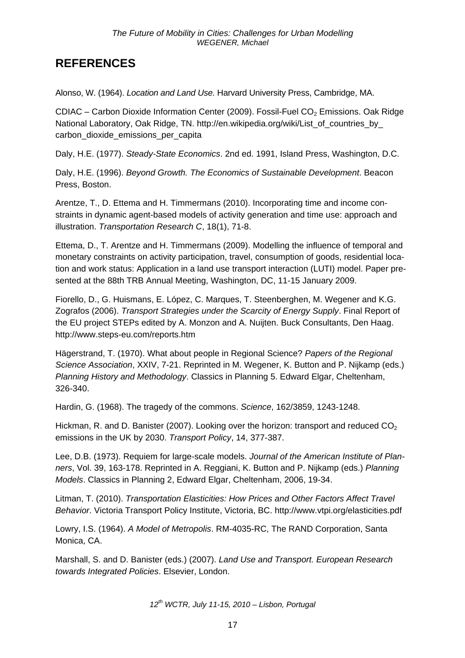### **REFERENCES**

Alonso, W. (1964). *Location and Land Use.* Harvard University Press, Cambridge, MA.

CDIAC – Carbon Dioxide Information Center (2009). Fossil-Fuel  $CO<sub>2</sub>$  Emissions. Oak Ridge National Laboratory, Oak Ridge, TN. http://en.wikipedia.org/wiki/List\_of\_countries\_by\_ carbon\_dioxide\_emissions\_per\_capita

Daly, H.E. (1977). *Steady-State Economics*. 2nd ed. 1991, Island Press, Washington, D.C.

Daly, H.E. (1996). *Beyond Growth. The Economics of Sustainable Development*. Beacon Press, Boston.

Arentze, T., D. Ettema and H. Timmermans (2010). Incorporating time and income constraints in dynamic agent-based models of activity generation and time use: approach and illustration. *Transportation Research C*, 18(1), 71-8.

Ettema, D., T. Arentze and H. Timmermans (2009). Modelling the influence of temporal and monetary constraints on activity participation, travel, consumption of goods, residential location and work status: Application in a land use transport interaction (LUTI) model. Paper presented at the 88th TRB Annual Meeting, Washington, DC, 11-15 January 2009.

Fiorello, D., G. Huismans, E. López, C. Marques, T. Steenberghen, M. Wegener and K.G. Zografos (2006). *Transport Strategies under the Scarcity of Energy Supply*. Final Report of the EU project STEPs edited by A. Monzon and A. Nuijten. Buck Consultants, Den Haag. http://www.steps-eu.com/reports.htm

Hägerstrand, T. (1970). What about people in Regional Science? *Papers of the Regional Science Association*, XXIV, 7-21. Reprinted in M. Wegener, K. Button and P. Nijkamp (eds.) *Planning History and Methodology*. Classics in Planning 5. Edward Elgar, Cheltenham, 326-340.

Hardin, G. (1968). The tragedy of the commons. *Science*, 162/3859, 1243-1248.

Hickman, R. and D. Banister (2007). Looking over the horizon: transport and reduced  $CO<sub>2</sub>$ emissions in the UK by 2030. *Transport Policy*, 14, 377-387.

Lee, D.B. (1973). Requiem for large-scale models. *Journal of the American Institute of Planners*, Vol. 39, 163-178. Reprinted in A. Reggiani, K. Button and P. Nijkamp (eds.) *Planning Models*. Classics in Planning 2, Edward Elgar, Cheltenham, 2006, 19-34.

Litman, T. (2010). *Transportation Elasticities: How Prices and Other Factors Affect Travel Behavior*. Victoria Transport Policy Institute, Victoria, BC. http://www.vtpi.org/elasticities.pdf

Lowry, I.S. (1964). *A Model of Metropolis*. RM-4035-RC, The RAND Corporation, Santa Monica, CA.

Marshall, S. and D. Banister (eds.) (2007). *Land Use and Transport. European Research towards Integrated Policies*. Elsevier, London.